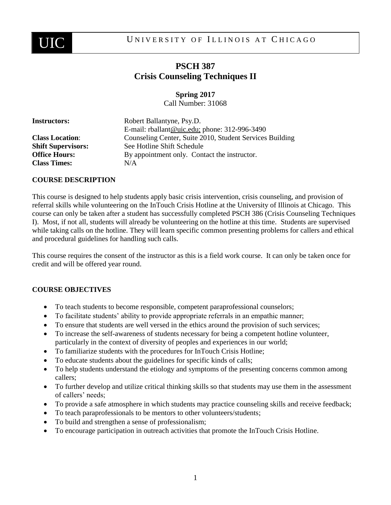

# **PSCH 387 Crisis Counseling Techniques II**

# **Spring 2017**

Call Number: 31068

| Robert Ballantyne, Psy.D.                                |
|----------------------------------------------------------|
| E-mail: rballant@uic.edu; phone: 312-996-3490            |
| Counseling Center, Suite 2010, Student Services Building |
| See Hotline Shift Schedule                               |
| By appointment only. Contact the instructor.             |
| N/A                                                      |
|                                                          |

# **COURSE DESCRIPTION**

This course is designed to help students apply basic crisis intervention, crisis counseling, and provision of referral skills while volunteering on the InTouch Crisis Hotline at the University of Illinois at Chicago. This course can only be taken after a student has successfully completed PSCH 386 (Crisis Counseling Techniques I). Most, if not all, students will already be volunteering on the hotline at this time. Students are supervised while taking calls on the hotline. They will learn specific common presenting problems for callers and ethical and procedural guidelines for handling such calls.

This course requires the consent of the instructor as this is a field work course. It can only be taken once for credit and will be offered year round.

# **COURSE OBJECTIVES**

- To teach students to become responsible, competent paraprofessional counselors;
- To facilitate students' ability to provide appropriate referrals in an empathic manner;
- To ensure that students are well versed in the ethics around the provision of such services;
- To increase the self-awareness of students necessary for being a competent hotline volunteer, particularly in the context of diversity of peoples and experiences in our world;
- To familiarize students with the procedures for InTouch Crisis Hotline;
- To educate students about the guidelines for specific kinds of calls;
- To help students understand the etiology and symptoms of the presenting concerns common among callers;
- To further develop and utilize critical thinking skills so that students may use them in the assessment of callers' needs;
- To provide a safe atmosphere in which students may practice counseling skills and receive feedback;
- To teach paraprofessionals to be mentors to other volunteers/students;
- To build and strengthen a sense of professionalism;
- To encourage participation in outreach activities that promote the InTouch Crisis Hotline.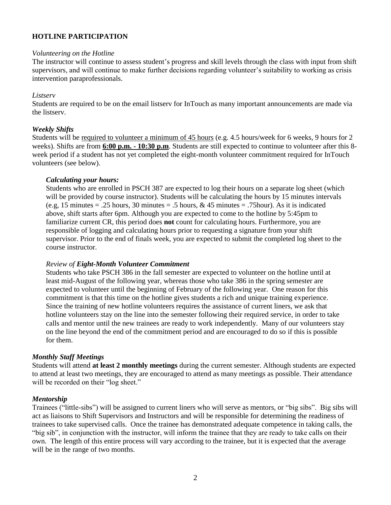# **HOTLINE PARTICIPATION**

#### *Volunteering on the Hotline*

The instructor will continue to assess student's progress and skill levels through the class with input from shift supervisors, and will continue to make further decisions regarding volunteer's suitability to working as crisis intervention paraprofessionals.

#### *Listserv*

Students are required to be on the email listserv for InTouch as many important announcements are made via the listserv.

# *Weekly Shifts*

Students will be required to volunteer a minimum of 45 hours (e.g. 4.5 hours/week for 6 weeks, 9 hours for 2 weeks). Shifts are from **6:00 p.m. - 10:30 p.m**. Students are still expected to continue to volunteer after this 8 week period if a student has not yet completed the eight-month volunteer commitment required for InTouch volunteers (see below).

#### *Calculating your hours:*

Students who are enrolled in PSCH 387 are expected to log their hours on a separate log sheet (which will be provided by course instructor). Students will be calculating the hours by 15 minutes intervals (e.g, 15 minutes = .25 hours, 30 minutes = .5 hours, & 45 minutes = .75 hour). As it is indicated above, shift starts after 6pm. Although you are expected to come to the hotline by 5:45pm to familiarize current CR, this period does **not** count for calculating hours. Furthermore, you are responsible of logging and calculating hours prior to requesting a signature from your shift supervisor. Prior to the end of finals week, you are expected to submit the completed log sheet to the course instructor.

# *Review of Eight-Month Volunteer Commitment*

Students who take PSCH 386 in the fall semester are expected to volunteer on the hotline until at least mid-August of the following year, whereas those who take 386 in the spring semester are expected to volunteer until the beginning of February of the following year. One reason for this commitment is that this time on the hotline gives students a rich and unique training experience. Since the training of new hotline volunteers requires the assistance of current liners, we ask that hotline volunteers stay on the line into the semester following their required service, in order to take calls and mentor until the new trainees are ready to work independently. Many of our volunteers stay on the line beyond the end of the commitment period and are encouraged to do so if this is possible for them.

# *Monthly Staff Meetings*

Students will attend **at least 2 monthly meetings** during the current semester. Although students are expected to attend at least two meetings, they are encouraged to attend as many meetings as possible. Their attendance will be recorded on their "log sheet."

# *Mentorship*

Trainees ("little-sibs") will be assigned to current liners who will serve as mentors, or "big sibs". Big sibs will act as liaisons to Shift Supervisors and Instructors and will be responsible for determining the readiness of trainees to take supervised calls. Once the trainee has demonstrated adequate competence in taking calls, the "big sib", in conjunction with the instructor, will inform the trainee that they are ready to take calls on their own. The length of this entire process will vary according to the trainee, but it is expected that the average will be in the range of two months.